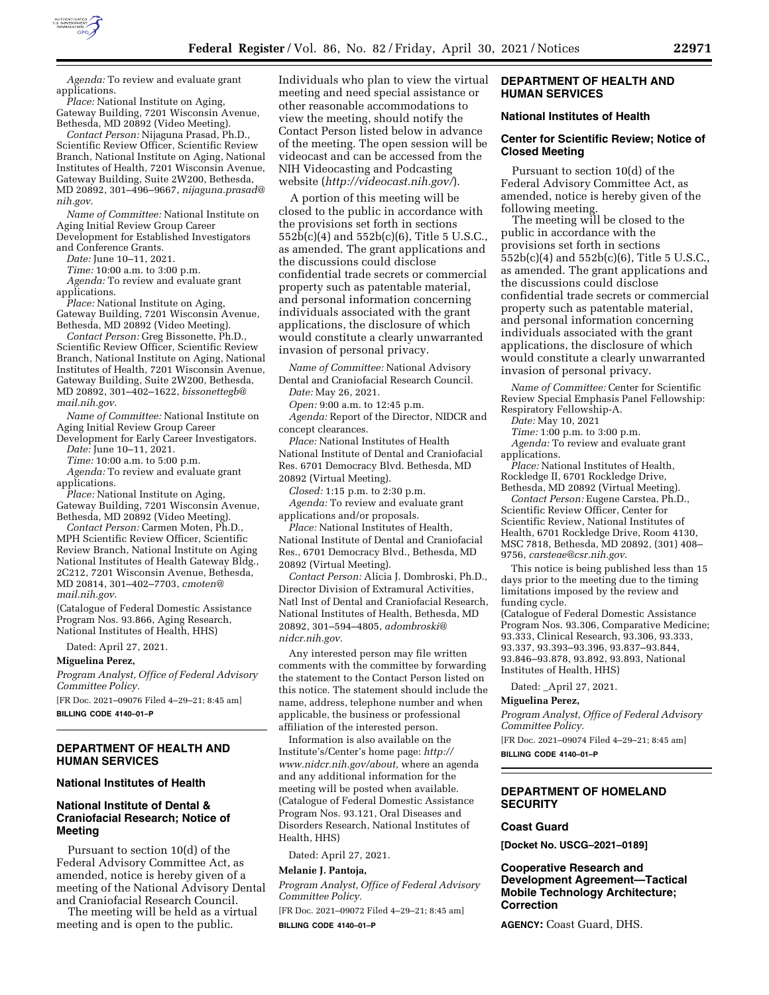

*Agenda:* To review and evaluate grant applications.

*Place:* National Institute on Aging, Gateway Building, 7201 Wisconsin Avenue, Bethesda, MD 20892 (Video Meeting).

*Contact Person:* Nijaguna Prasad, Ph.D., Scientific Review Officer, Scientific Review Branch, National Institute on Aging, National Institutes of Health, 7201 Wisconsin Avenue, Gateway Building, Suite 2W200, Bethesda, MD 20892, 301–496–9667, *[nijaguna.prasad@](mailto:nijaguna.prasad@nih.gov) [nih.gov](mailto:nijaguna.prasad@nih.gov)*.

*Name of Committee:* National Institute on Aging Initial Review Group Career Development for Established Investigators and Conference Grants.

*Date:* June 10–11, 2021.

*Time:* 10:00 a.m. to 3:00 p.m.

*Agenda:* To review and evaluate grant applications.

*Place:* National Institute on Aging, Gateway Building, 7201 Wisconsin Avenue, Bethesda, MD 20892 (Video Meeting).

*Contact Person:* Greg Bissonette, Ph.D., Scientific Review Officer, Scientific Review Branch, National Institute on Aging, National Institutes of Health, 7201 Wisconsin Avenue, Gateway Building, Suite 2W200, Bethesda, MD 20892, 301–402–1622, *[bissonettegb@](mailto:bissonettegb@mail.nih.gov) [mail.nih.gov](mailto:bissonettegb@mail.nih.gov)*.

*Name of Committee:* National Institute on Aging Initial Review Group Career Development for Early Career Investigators.

*Date:* June 10–11, 2021.

*Time:* 10:00 a.m. to 5:00 p.m.

*Agenda:* To review and evaluate grant applications.

*Place:* National Institute on Aging, Gateway Building, 7201 Wisconsin Avenue, Bethesda, MD 20892 (Video Meeting).

*Contact Person:* Carmen Moten, Ph.D., MPH Scientific Review Officer, Scientific Review Branch, National Institute on Aging National Institutes of Health Gateway Bldg., 2C212, 7201 Wisconsin Avenue, Bethesda, MD 20814, 301–402–7703, *[cmoten@](mailto:cmoten@mail.nih.gov) [mail.nih.gov](mailto:cmoten@mail.nih.gov)*.

(Catalogue of Federal Domestic Assistance Program Nos. 93.866, Aging Research, National Institutes of Health, HHS)

Dated: April 27, 2021.

#### **Miguelina Perez,**

*Program Analyst, Office of Federal Advisory Committee Policy.*  [FR Doc. 2021–09076 Filed 4–29–21; 8:45 am]

**BILLING CODE 4140–01–P** 

# **DEPARTMENT OF HEALTH AND HUMAN SERVICES**

#### **National Institutes of Health**

### **National Institute of Dental & Craniofacial Research; Notice of Meeting**

Pursuant to section 10(d) of the Federal Advisory Committee Act, as amended, notice is hereby given of a meeting of the National Advisory Dental and Craniofacial Research Council.

The meeting will be held as a virtual meeting and is open to the public.

Individuals who plan to view the virtual meeting and need special assistance or other reasonable accommodations to view the meeting, should notify the Contact Person listed below in advance of the meeting. The open session will be videocast and can be accessed from the NIH Videocasting and Podcasting website (*<http://videocast.nih.gov/>*).

A portion of this meeting will be closed to the public in accordance with the provisions set forth in sections 552b(c)(4) and 552b(c)(6), Title 5 U.S.C., as amended. The grant applications and the discussions could disclose confidential trade secrets or commercial property such as patentable material, and personal information concerning individuals associated with the grant applications, the disclosure of which would constitute a clearly unwarranted invasion of personal privacy.

*Name of Committee:* National Advisory Dental and Craniofacial Research Council.

*Date:* May 26, 2021.

*Open:* 9:00 a.m. to 12:45 p.m.

*Agenda:* Report of the Director, NIDCR and concept clearances.

*Place:* National Institutes of Health National Institute of Dental and Craniofacial Res. 6701 Democracy Blvd. Bethesda, MD 20892 (Virtual Meeting).

*Closed:* 1:15 p.m. to 2:30 p.m.

*Agenda:* To review and evaluate grant applications and/or proposals.

*Place:* National Institutes of Health, National Institute of Dental and Craniofacial Res., 6701 Democracy Blvd., Bethesda, MD 20892 (Virtual Meeting).

*Contact Person:* Alicia J. Dombroski, Ph.D., Director Division of Extramural Activities, Natl Inst of Dental and Craniofacial Research, National Institutes of Health, Bethesda, MD 20892, 301–594–4805, *[adombroski@](mailto:adombroski@nidcr.nih.gov) [nidcr.nih.gov.](mailto:adombroski@nidcr.nih.gov)* 

Any interested person may file written comments with the committee by forwarding the statement to the Contact Person listed on this notice. The statement should include the name, address, telephone number and when applicable, the business or professional affiliation of the interested person.

Information is also available on the Institute's/Center's home page: *[http://](http://www.nidcr.nih.gov/about) [www.nidcr.nih.gov/about,](http://www.nidcr.nih.gov/about)* where an agenda and any additional information for the meeting will be posted when available. (Catalogue of Federal Domestic Assistance Program Nos. 93.121, Oral Diseases and Disorders Research, National Institutes of Health, HHS)

Dated: April 27, 2021.

### **Melanie J. Pantoja,**

*Program Analyst, Office of Federal Advisory Committee Policy.* 

[FR Doc. 2021–09072 Filed 4–29–21; 8:45 am] **BILLING CODE 4140–01–P** 

### **DEPARTMENT OF HEALTH AND HUMAN SERVICES**

### **National Institutes of Health**

## **Center for Scientific Review; Notice of Closed Meeting**

Pursuant to section 10(d) of the Federal Advisory Committee Act, as amended, notice is hereby given of the following meeting.

The meeting will be closed to the public in accordance with the provisions set forth in sections 552b(c)(4) and 552b(c)(6), Title 5 U.S.C., as amended. The grant applications and the discussions could disclose confidential trade secrets or commercial property such as patentable material, and personal information concerning individuals associated with the grant applications, the disclosure of which would constitute a clearly unwarranted invasion of personal privacy.

*Name of Committee:* Center for Scientific Review Special Emphasis Panel Fellowship: Respiratory Fellowship-A.

*Date:* May 10, 2021

*Time:* 1:00 p.m. to 3:00 p.m.

*Agenda:* To review and evaluate grant applications.

*Place:* National Institutes of Health, Rockledge II, 6701 Rockledge Drive, Bethesda, MD 20892 (Virtual Meeting).

*Contact Person:* Eugene Carstea, Ph.D., Scientific Review Officer, Center for Scientific Review, National Institutes of Health, 6701 Rockledge Drive, Room 4130, MSC 7818, Bethesda, MD 20892, (301) 408– 9756, *[carsteae@csr.nih.gov](mailto:carsteae@csr.nih.gov)*.

This notice is being published less than 15 days prior to the meeting due to the timing limitations imposed by the review and funding cycle.

(Catalogue of Federal Domestic Assistance Program Nos. 93.306, Comparative Medicine; 93.333, Clinical Research, 93.306, 93.333, 93.337, 93.393–93.396, 93.837–93.844, 93.846–93.878, 93.892, 93.893, National Institutes of Health, HHS)

Dated: \_April 27, 2021.

#### **Miguelina Perez,**

*Program Analyst, Office of Federal Advisory Committee Policy.* 

[FR Doc. 2021–09074 Filed 4–29–21; 8:45 am] **BILLING CODE 4140–01–P** 

#### **DEPARTMENT OF HOMELAND SECURITY**

# **Coast Guard**

**[Docket No. USCG–2021–0189]** 

# **Cooperative Research and Development Agreement—Tactical Mobile Technology Architecture; Correction**

**AGENCY:** Coast Guard, DHS.